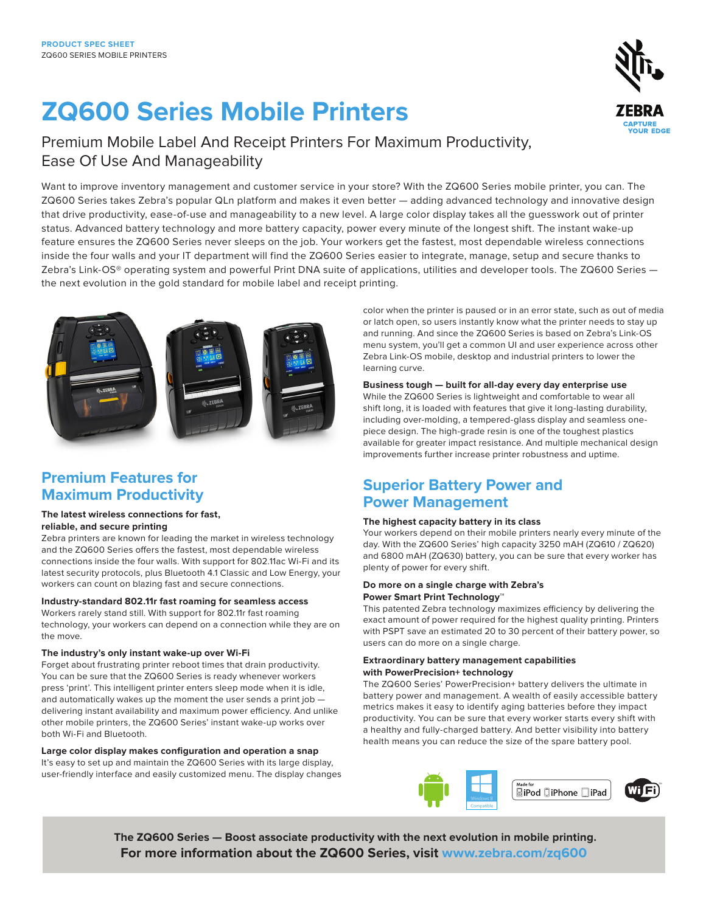# **ZQ600 Series Mobile Printers**

## Premium Mobile Label And Receipt Printers For Maximum Productivity, Ease Of Use And Manageability

Want to improve inventory management and customer service in your store? With the ZQ600 Series mobile printer, you can. The ZQ600 Series takes Zebra's popular QLn platform and makes it even better — adding advanced technology and innovative design that drive productivity, ease-of-use and manageability to a new level. A large color display takes all the guesswork out of printer status. Advanced battery technology and more battery capacity, power every minute of the longest shift. The instant wake-up feature ensures the ZQ600 Series never sleeps on the job. Your workers get the fastest, most dependable wireless connections inside the four walls and your IT department will find the ZQ600 Series easier to integrate, manage, setup and secure thanks to Zebra's Link-OS® operating system and powerful Print DNA suite of applications, utilities and developer tools. The ZQ600 Series the next evolution in the gold standard for mobile label and receipt printing.



## **Premium Features for Maximum Productivity**

### **The latest wireless connections for fast, reliable, and secure printing**

Zebra printers are known for leading the market in wireless technology and the ZQ600 Series offers the fastest, most dependable wireless connections inside the four walls. With support for 802.11ac Wi-Fi and its latest security protocols, plus Bluetooth 4.1 Classic and Low Energy, your workers can count on blazing fast and secure connections.

**Industry-standard 802.11r fast roaming for seamless access**

Workers rarely stand still. With support for 802.11r fast roaming technology, your workers can depend on a connection while they are on the move.

## **The industry's only instant wake-up over Wi-Fi**

Forget about frustrating printer reboot times that drain productivity. You can be sure that the ZQ600 Series is ready whenever workers press 'print'. This intelligent printer enters sleep mode when it is idle, and automatically wakes up the moment the user sends a print job delivering instant availability and maximum power efficiency. And unlike other mobile printers, the ZQ600 Series' instant wake-up works over both Wi-Fi and Bluetooth.

## **Large color display makes configuration and operation a snap**

It's easy to set up and maintain the ZQ600 Series with its large display, user-friendly interface and easily customized menu. The display changes color when the printer is paused or in an error state, such as out of media or latch open, so users instantly know what the printer needs to stay up and running. And since the ZQ600 Series is based on Zebra's Link-OS menu system, you'll get a common UI and user experience across other Zebra Link-OS mobile, desktop and industrial printers to lower the learning curve.

## **Business tough — built for all-day every day enterprise use**

While the ZQ600 Series is lightweight and comfortable to wear all shift long, it is loaded with features that give it long-lasting durability, including over-molding, a tempered-glass display and seamless onepiece design. The high-grade resin is one of the toughest plastics available for greater impact resistance. And multiple mechanical design improvements further increase printer robustness and uptime.

## **Superior Battery Power and Power Management**

## **The highest capacity battery in its class**

Your workers depend on their mobile printers nearly every minute of the day. With the ZQ600 Series' high capacity 3250 mAH (ZQ610 / ZQ620) and 6800 mAH (ZQ630) battery, you can be sure that every worker has plenty of power for every shift.

## **Do more on a single charge with Zebra's Power Smart Print Technology™**

This patented Zebra technology maximizes efficiency by delivering the exact amount of power required for the highest quality printing. Printers with PSPT save an estimated 20 to 30 percent of their battery power, so users can do more on a single charge.

## **Extraordinary battery management capabilities with PowerPrecision+ technology**

The ZQ600 Series' PowerPrecision+ battery delivers the ultimate in battery power and management. A wealth of easily accessible battery metrics makes it easy to identify aging batteries before they impact productivity. You can be sure that every worker starts every shift with a healthy and fully-charged battery. And better visibility into battery health means you can reduce the size of the spare battery pool.



TM

 **The ZQ600 Series — Boost associate productivity with the next evolution in mobile printing. For more information about the ZQ600 Series, visit [www.zebra.com/](http://www.zebra.com/zq600)zq600**

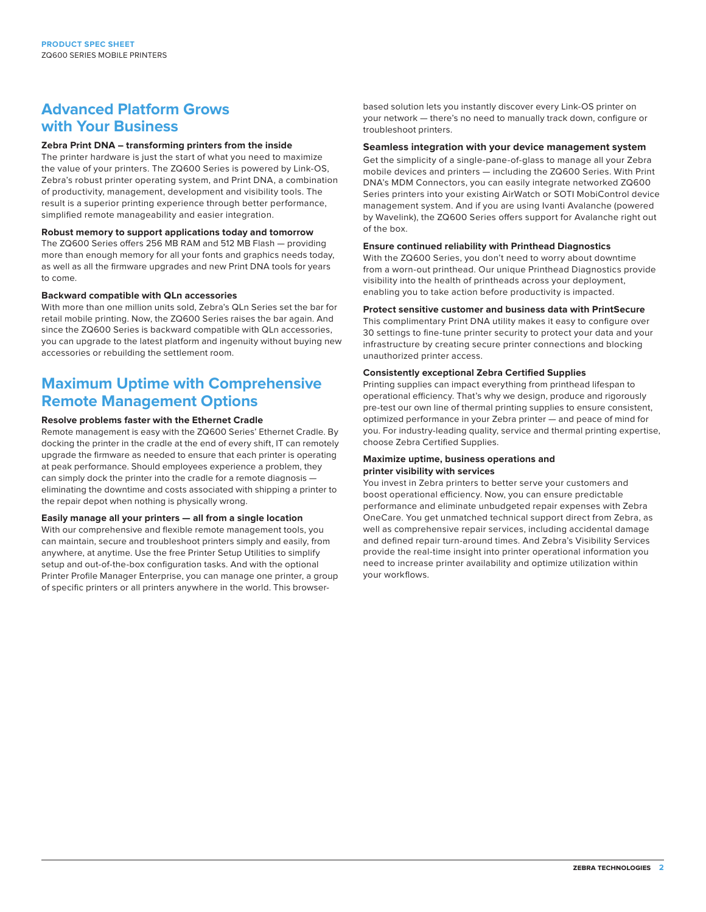## **Advanced Platform Grows with Your Business**

## **Zebra Print DNA – transforming printers from the inside**

The printer hardware is just the start of what you need to maximize the value of your printers. The ZQ600 Series is powered by Link-OS, Zebra's robust printer operating system, and Print DNA, a combination of productivity, management, development and visibility tools. The result is a superior printing experience through better performance, simplified remote manageability and easier integration.

### **Robust memory to support applications today and tomorrow**

The ZQ600 Series offers 256 MB RAM and 512 MB Flash — providing more than enough memory for all your fonts and graphics needs today, as well as all the firmware upgrades and new Print DNA tools for years to come.

#### **Backward compatible with QLn accessories**

With more than one million units sold, Zebra's QLn Series set the bar for retail mobile printing. Now, the ZQ600 Series raises the bar again. And since the ZQ600 Series is backward compatible with QLn accessories, you can upgrade to the latest platform and ingenuity without buying new accessories or rebuilding the settlement room.

## **Maximum Uptime with Comprehensive Remote Management Options**

## **Resolve problems faster with the Ethernet Cradle**

Remote management is easy with the ZQ600 Series' Ethernet Cradle. By docking the printer in the cradle at the end of every shift, IT can remotely upgrade the firmware as needed to ensure that each printer is operating at peak performance. Should employees experience a problem, they can simply dock the printer into the cradle for a remote diagnosis eliminating the downtime and costs associated with shipping a printer to the repair depot when nothing is physically wrong.

### **Easily manage all your printers — all from a single location**

With our comprehensive and flexible remote management tools, you can maintain, secure and troubleshoot printers simply and easily, from anywhere, at anytime. Use the free Printer Setup Utilities to simplify setup and out-of-the-box configuration tasks. And with the optional Printer Profile Manager Enterprise, you can manage one printer, a group of specific printers or all printers anywhere in the world. This browserbased solution lets you instantly discover every Link-OS printer on your network — there's no need to manually track down, configure or troubleshoot printers.

#### **Seamless integration with your device management system**

Get the simplicity of a single-pane-of-glass to manage all your Zebra mobile devices and printers — including the ZQ600 Series. With Print DNA's MDM Connectors, you can easily integrate networked ZQ600 Series printers into your existing AirWatch or SOTI MobiControl device management system. And if you are using Ivanti Avalanche (powered by Wavelink), the ZQ600 Series offers support for Avalanche right out of the box.

### **Ensure continued reliability with Printhead Diagnostics**

With the ZQ600 Series, you don't need to worry about downtime from a worn-out printhead. Our unique Printhead Diagnostics provide visibility into the health of printheads across your deployment, enabling you to take action before productivity is impacted.

#### **Protect sensitive customer and business data with PrintSecure**

This complimentary Print DNA utility makes it easy to configure over 30 settings to fine-tune printer security to protect your data and your infrastructure by creating secure printer connections and blocking unauthorized printer access.

#### **Consistently exceptional Zebra Certified Supplies**

Printing supplies can impact everything from printhead lifespan to operational efficiency. That's why we design, produce and rigorously pre-test our own line of thermal printing supplies to ensure consistent, optimized performance in your Zebra printer — and peace of mind for you. For industry-leading quality, service and thermal printing expertise, choose Zebra Certified Supplies.

#### **Maximize uptime, business operations and printer visibility with services**

You invest in Zebra printers to better serve your customers and boost operational efficiency. Now, you can ensure predictable performance and eliminate unbudgeted repair expenses with Zebra OneCare. You get unmatched technical support direct from Zebra, as well as comprehensive repair services, including accidental damage and defined repair turn-around times. And Zebra's Visibility Services provide the real-time insight into printer operational information you need to increase printer availability and optimize utilization within your workflows.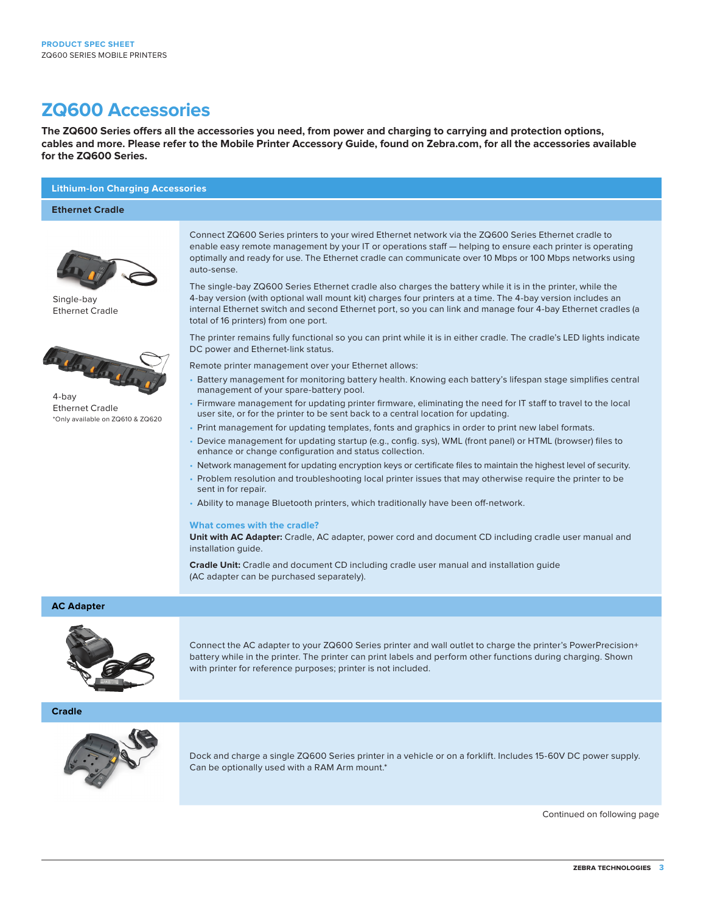## **ZQ600 Accessories**

**The ZQ600 Series offers all the accessories you need, from power and charging to carrying and protection options, cables and more. Please refer to the Mobile Printer Accessory Guide, found on Zebra.com, for all the accessories available for the ZQ600 Series.**

## **Lithium-Ion Charging Accessories**

#### **Ethernet Cradle**



Single-bay Ethernet Cradle



4-bay Ethernet Cradle \*Only available on ZQ610 & ZQ620

Connect ZQ600 Series printers to your wired Ethernet network via the ZQ600 Series Ethernet cradle to enable easy remote management by your IT or operations staff — helping to ensure each printer is operating optimally and ready for use. The Ethernet cradle can communicate over 10 Mbps or 100 Mbps networks using auto-sense.

The single-bay ZQ600 Series Ethernet cradle also charges the battery while it is in the printer, while the 4-bay version (with optional wall mount kit) charges four printers at a time. The 4-bay version includes an internal Ethernet switch and second Ethernet port, so you can link and manage four 4-bay Ethernet cradles (a total of 16 printers) from one port.

The printer remains fully functional so you can print while it is in either cradle. The cradle's LED lights indicate DC power and Ethernet-link status.

Remote printer management over your Ethernet allows:

- Battery management for monitoring battery health. Knowing each battery's lifespan stage simplifies central management of your spare-battery pool.
- Firmware management for updating printer firmware, eliminating the need for IT staff to travel to the local user site, or for the printer to be sent back to a central location for updating.
- Print management for updating templates, fonts and graphics in order to print new label formats.
- Device management for updating startup (e.g., config. sys), WML (front panel) or HTML (browser) files to enhance or change configuration and status collection.
- Network management for updating encryption keys or certificate files to maintain the highest level of security.
- Problem resolution and troubleshooting local printer issues that may otherwise require the printer to be sent in for repair.
- Ability to manage Bluetooth printers, which traditionally have been off-network.

#### **What comes with the cradle?**

**Unit with AC Adapter:** Cradle, AC adapter, power cord and document CD including cradle user manual and installation guide.

**Cradle Unit:** Cradle and document CD including cradle user manual and installation guide (AC adapter can be purchased separately).

## **AC Adapter**



Connect the AC adapter to your ZQ600 Series printer and wall outlet to charge the printer's PowerPrecision+ battery while in the printer. The printer can print labels and perform other functions during charging. Shown with printer for reference purposes; printer is not included.

**Cradle**



Dock and charge a single ZQ600 Series printer in a vehicle or on a forklift. Includes 15-60V DC power supply. Can be optionally used with a RAM Arm mount.\*

Continued on following page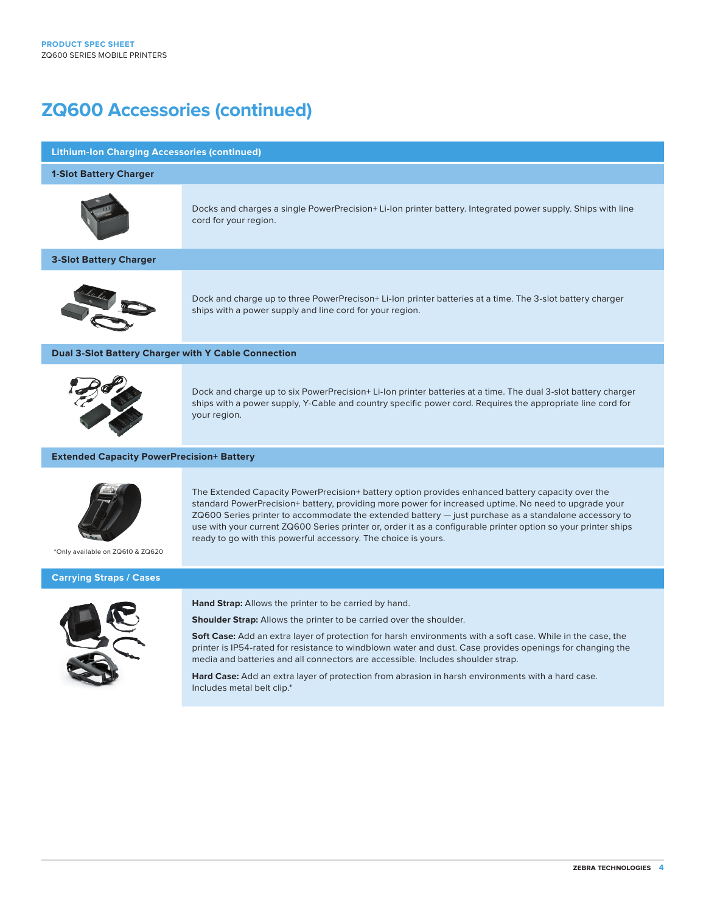## **ZQ600 Accessories (continued)**

### **Lithium-Ion Charging Accessories (continued)**

#### **1-Slot Battery Charger**



Docks and charges a single PowerPrecision+ Li-Ion printer battery. Integrated power supply. Ships with line cord for your region.

## **3-Slot Battery Charger**



Dock and charge up to three PowerPrecison+ Li-Ion printer batteries at a time. The 3-slot battery charger ships with a power supply and line cord for your region.

### **Dual 3-Slot Battery Charger with Y Cable Connection**



Dock and charge up to six PowerPrecision+ Li-Ion printer batteries at a time. The dual 3-slot battery charger ships with a power supply, Y-Cable and country specific power cord. Requires the appropriate line cord for your region.

The Extended Capacity PowerPrecision+ battery option provides enhanced battery capacity over the standard PowerPrecision+ battery, providing more power for increased uptime. No need to upgrade your ZQ600 Series printer to accommodate the extended battery — just purchase as a standalone accessory to use with your current ZQ600 Series printer or, order it as a configurable printer option so your printer ships

### **Extended Capacity PowerPrecision+ Battery**



\*Only available on ZQ610 & ZQ620

#### **Carrying Straps / Cases**



**Hand Strap:** Allows the printer to be carried by hand.

**Shoulder Strap:** Allows the printer to be carried over the shoulder.

ready to go with this powerful accessory. The choice is yours.

**Soft Case:** Add an extra layer of protection for harsh environments with a soft case. While in the case, the printer is IP54-rated for resistance to windblown water and dust. Case provides openings for changing the media and batteries and all connectors are accessible. Includes shoulder strap.

**Hard Case:** Add an extra layer of protection from abrasion in harsh environments with a hard case. Includes metal belt clip.\*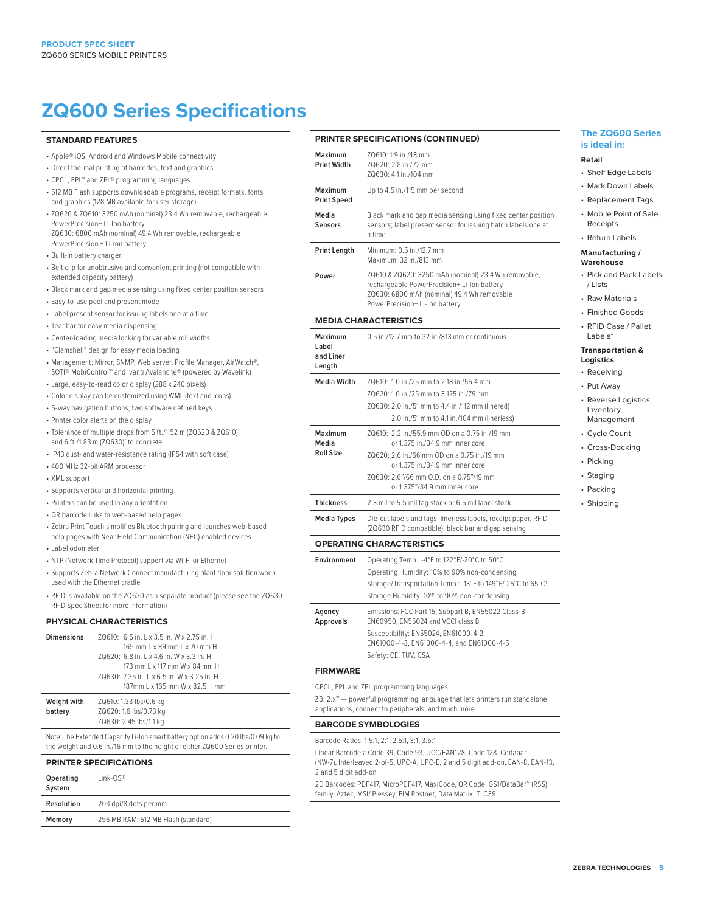## **ZQ600 Series Specifications**

### **STANDARD FEATURES**

- Apple® iOS, Android and Windows Mobile connectivity
- Direct thermal printing of barcodes, text and graphics
- CPCL, EPL™ and ZPL® programming languages
- 512 MB Flash supports downloadable programs, receipt formats, fonts and graphics (128 MB available for user storage)
- ZQ620 & ZQ610: 3250 mAh (nominal) 23.4 Wh removable, rechargeable PowerPrecision+ Li-Ion battery ZQ630: 6800 mAh (nominal) 49.4 Wh removable, rechargeable
- PowerPrecision + Li-Ion battery
- Built-in battery charger
- Belt clip for unobtrusive and convenient printing (not compatible with extended capacity battery)
- Black mark and gap media sensing using fixed center position sensors
- Easy-to-use peel and present mode
- Label present sensor for issuing labels one at a time
- Tear bar for easy media dispensing
- Center-loading media locking for variable roll widths
- "Clamshell" design for easy media loading
- Management: Mirror, SNMP, Web server, Profile Manager, AirWatch®, SOTI® MobiControl**™** and Ivanti Avalanche® (powered by Wavelink)
- Large, easy-to-read color display (288 x 240 pixels)
- Color display can be customized using WML (text and icons)
- 5-way navigation buttons, two software defined keys
- Printer color alerts on the display
- Tolerance of multiple drops from 5 ft./1.52 m (ZQ620 & ZQ610) and 6 ft./1.83 m (ZQ630)' to concrete
- IP43 dust- and water-resistance rating (IP54 with soft case)
- 400 MHz 32-bit ARM processor
- XML support
- Supports vertical and horizontal printing
- Printers can be used in any orientation
- QR barcode links to web-based help pages
- Zebra Print Touch simplifies Bluetooth pairing and launches web-based help pages with Near Field Communication (NFC) enabled devices
- Label odometer
- NTP (Network Time Protocol) support via Wi-Fi or Ethernet
- Supports Zebra Network Connect manufacturing plant floor solution when used with the Ethernet cradle
- RFID is available on the ZQ630 as a separate product (please see the ZQ630 RFID Spec Sheet for more information)

### **PHYSICAL CHARACTERISTICS**

| <b>Dimensions</b>      | ZQ610: 6.5 in, L x 3.5 in, W x 2.75 in, H<br>165 mm L x 89 mm L x 70 mm H<br>70620: 6.8 in. 1 x 4.6 in. W x 3.3 in. H<br>173 mm L x 117 mm W x 84 mm H<br>ZQ630: 7.35 in. L x 6.5 in. W x 3.25 in. H<br>187mm L x 165 mm W x 82.5 H mm |
|------------------------|----------------------------------------------------------------------------------------------------------------------------------------------------------------------------------------------------------------------------------------|
| Weight with<br>battery | ZQ610: 1.33 lbs/0.6 kg<br>ZQ620: 1.6 lbs/0.73 kg<br>ZQ630: 2.45 lbs/1.1 kg                                                                                                                                                             |

Note: The Extended Capacity Li-Ion smart battery option adds 0.20 lbs/0.09 kg to the weight and 0.6 in./16 mm to the height of either ZQ600 Series printer.

#### **PRINTER SPECIFICATIONS**

| Operating<br>System | $link-OS^{\circledR}$               |
|---------------------|-------------------------------------|
| Resolution          | 203 dpi/8 dots per mm               |
| Memory              | 256 MB RAM; 512 MB Flash (standard) |

#### **PRINTER SPECIFICATIONS (CONTINUED)**

| Maximum<br><b>Print Width</b>                  | 70610: 1.9 in /48 mm<br>70620: 2.8 in /72 mm<br>70630: 4.1 in /104 mm                                                                                                               |  |
|------------------------------------------------|-------------------------------------------------------------------------------------------------------------------------------------------------------------------------------------|--|
| <b>Maximum</b><br><b>Print Speed</b>           | Up to 4.5 in./115 mm per second                                                                                                                                                     |  |
| Media<br>Sensors                               | Black mark and gap media sensing using fixed center position<br>sensors; label present sensor for issuing batch labels one at<br>a time                                             |  |
| Print Length                                   | Minimum: 0.5 in./12.7 mm<br>Maximum: 32 in./813 mm                                                                                                                                  |  |
| Power                                          | ZQ610 & ZQ620: 3250 mAh (nominal) 23.4 Wh removable,<br>rechargeable PowerPrecision+ Li-Ion battery<br>ZQ630: 6800 mAh (nominal) 49.4 Wh removable<br>PowerPrecision+Li-Ion battery |  |
| <b>MEDIA CHARACTERISTICS</b>                   |                                                                                                                                                                                     |  |
| <b>Maximum</b><br>Label<br>and Liner<br>Length | 0.5 in /12.7 mm to 32 in /813 mm or continuous                                                                                                                                      |  |

| <b>Media Width</b> | 70610: 1.0 in /25 mm to 2.18 in /55.4 mm                                                                             |
|--------------------|----------------------------------------------------------------------------------------------------------------------|
|                    | 70620: 1.0 in /25 mm to 3.125 in /79 mm                                                                              |
|                    | ZQ630: 2.0 in./51 mm to 4.4 in./112 mm (linered)                                                                     |
|                    | 2.0 in./51 mm to 4.1 in./104 mm (linerless)                                                                          |
| Maximum<br>Media   | 70610: 2.2 in /55.9 mm OD on a 0.75 in /19 mm<br>or 1.375 in /34.9 mm inner core                                     |
| <b>Roll Size</b>   | 70620: 2.6 in /66 mm OD on a 0.75 in /19 mm<br>or 1.375 in /34.9 mm inner core                                       |
|                    | 70630: 2.6"/66 mm 0.D. on a 0.75"/19 mm<br>or 1.375"/34.9 mm inner core                                              |
| <b>Thickness</b>   | 2.3 mil to 5.5 mil tag stock or 6.5 mil label stock                                                                  |
| Media Types        | Die-cut labels and tags, linerless labels, receipt paper, RFID<br>(ZQ630 RFID compatible), black bar and gap sensing |

#### **OPERATING CHARACTERISTICS**

| Environment                | Operating Temp.: -4°F to 122°F/-20°C to 50°C                                             |
|----------------------------|------------------------------------------------------------------------------------------|
|                            | Operating Humidity: 10% to 90% non-condensing                                            |
|                            | Storage/Transportation Temp.: -13°F to 149°F/-25°C to 65°C1                              |
|                            | Storage Humidity: 10% to 90% non-condensing                                              |
| Agency<br><b>Approvals</b> | Emissions: FCC Part 15, Subpart B, EN55022 Class-B,<br>EN60950, EN55024 and VCCI class B |
|                            | Susceptibility: EN55024, EN61000-4-2,<br>EN61000-4-3. EN61000-4-4. and EN61000-4-5       |
|                            | Safety: CE, TUV, CSA                                                                     |

#### **FIRMWARE**

CPCL, EPL and ZPL programming languages

ZBI 2.x™ — powerful programming language that lets printers run standalone applications, connect to peripherals, and much more

#### **BARCODE SYMBOLOGIES**

Barcode Ratios: 1.5:1, 2:1, 2.5:1, 3:1, 3.5:1

Linear Barcodes: Code 39, Code 93, UCC/EAN128, Code 128, Codabar (NW-7), Interleaved 2-of-5, UPC-A, UPC-E, 2 and 5 digit add-on, EAN-8, EAN-13,

2 and 5 digit add-on 2D Barcodes: PDF417, MicroPDF417, MaxiCode, QR Code, GS1/DataBar™ (RSS) family, Aztec, MSI/ Plessey, FIM Postnet, Data Matrix, TLC39

## **The ZQ600 Series is ideal in:**

## **Retail**

- Shelf Edge Labels
- Mark Down Labels • Replacement Tags
- Mobile Point of Sale Receipts
- Return Labels

#### **Manufacturing / Warehouse**

- Pick and Pack Labels / Lists
- Raw Materials
- Finished Goods
- RFID Case / Pallet Labels\*

#### **Transportation & Logistics**

- Receiving
- Put Away
- Reverse Logistics Inventory Management
- Cycle Count
- Cross-Docking
- Picking
- Staging
- Packing
- Shipping